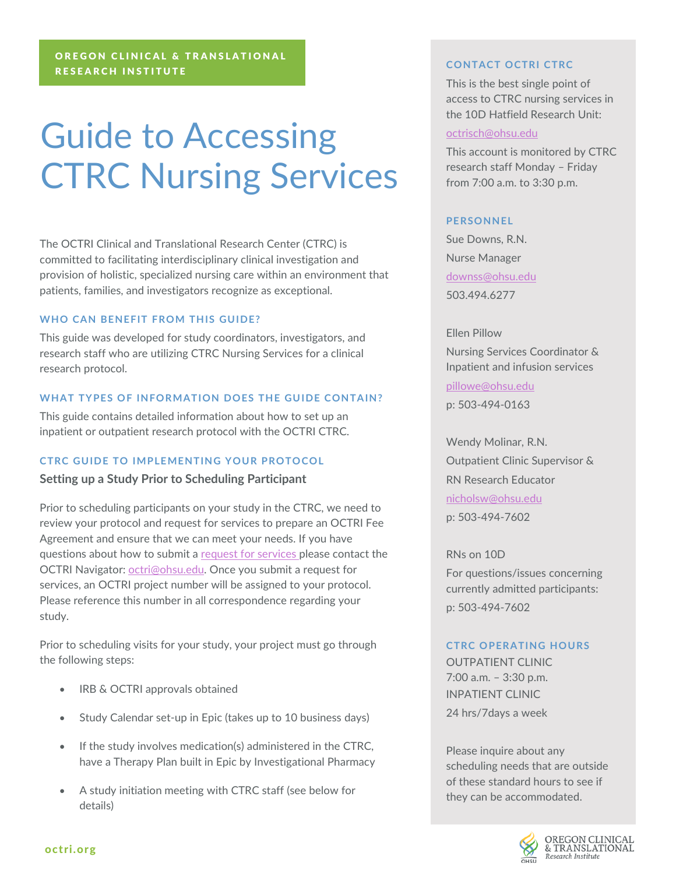# Guide to Accessing CTRC Nursing Services

The OCTRI Clinical and Translational Research Center (CTRC) is committed to facilitating interdisciplinary clinical investigation and provision of holistic, specialized nursing care within an environment that patients, families, and investigators recognize as exceptional.

## **WHO CAN BENEFIT FROM THIS GUIDE?**

This guide was developed for study coordinators, investigators, and research staff who are utilizing CTRC Nursing Services for a clinical research protocol.

#### **WHAT TYPES OF INFORMATION DOES THE GUIDE CONTAIN?**

This guide contains detailed information about how to set up an inpatient or outpatient research protocol with the OCTRI CTRC.

#### **CTRC GUIDE TO IMPLEMENTING YOUR PROTOCOL**

#### **Setting up a Study Prior to Scheduling Participant**

Prior to scheduling participants on your study in the CTRC, we need to review your protocol and request for services to prepare an OCTRI Fee Agreement and ensure that we can meet your needs. If you have questions about how to submit a [request for services p](https://octri.ohsu.edu/redcap/surveys/?s=jKxNzqKq3p)lease contact the OCTRI Navigator: [octri@ohsu.edu.](mailto:octri@ohsu.edu) Once you submit a request for services, an OCTRI project number will be assigned to your protocol. Please reference this number in all correspondence regarding your study.

Prior to scheduling visits for your study, your project must go through the following steps:

- IRB & OCTRI approvals obtained
- Study Calendar set-up in Epic (takes up to 10 business days)
- If the study involves medication(s) administered in the CTRC, have a Therapy Plan built in Epic by Investigational Pharmacy
- A study initiation meeting with CTRC staff (see below for details)

#### **CONTACT OCTRI CTRC**

This is the best single point of access to CTRC nursing services in the 10D Hatfield Research Unit:

#### [octrisch@ohsu.edu](mailto:octrisch@ohsu.edu)

This account is monitored by CTRC research staff Monday – Friday from 7:00 a.m. to 3:30 p.m.

#### **PERSONNEL**

Sue Downs, R.N. Nurse Manager [downss@ohsu.edu](mailto:downss@ohsu.edu) 503.494.6277

Ellen Pillow Nursing Services Coordinator & Inpatient and infusion services

[pillowe@ohsu.edu](mailto:pillowe@ohsu.edu) p: 503-494-0163

Wendy Molinar, R.N. Outpatient Clinic Supervisor & RN Research Educator [nicholsw@ohsu.edu](mailto:nicholsw@ohsu.edu) p: 503-494-7602

RNs on 10D For questions/issues concerning currently admitted participants: p: 503-494-7602

#### **CTRC OPERATING HOURS**

OUTPATIENT CLINIC 7:00 a.m. – 3:30 p.m. INPATIENT CLINIC 24 hrs/7days a week

Please inquire about any scheduling needs that are outside of these standard hours to see if they can be accommodated.

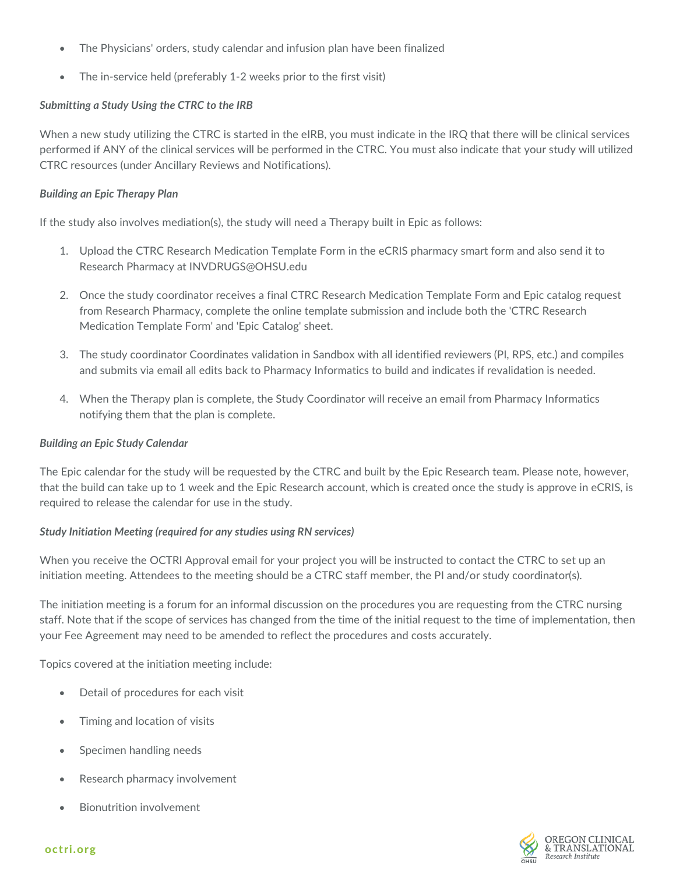- The Physicians' orders, study calendar and infusion plan have been finalized
- The in-service held (preferably 1-2 weeks prior to the first visit)

# *Submitting a Study Using the CTRC to the IRB*

When a new study utilizing the CTRC is started in the eIRB, you must indicate in the IRQ that there will be clinical services performed if ANY of the clinical services will be performed in the CTRC. You must also indicate that your study will utilized CTRC resources (under Ancillary Reviews and Notifications).

# *Building an Epic Therapy Plan*

If the study also involves mediation(s), the study will need a Therapy built in Epic as follows:

- 1. Upload the CTRC Research Medication Template Form in the eCRIS pharmacy smart form and also send it to Research Pharmacy at INVDRUGS@OHSU.edu
- 2. Once the study coordinator receives a final CTRC Research Medication Template Form and Epic catalog request from Research Pharmacy, complete the online template submission and include both the 'CTRC Research Medication Template Form' and 'Epic Catalog' sheet.
- 3. The study coordinator Coordinates validation in Sandbox with all identified reviewers (PI, RPS, etc.) and compiles and submits via email all edits back to Pharmacy Informatics to build and indicates if revalidation is needed.
- 4. When the Therapy plan is complete, the Study Coordinator will receive an email from Pharmacy Informatics notifying them that the plan is complete.

# *Building an Epic Study Calendar*

The Epic calendar for the study will be requested by the CTRC and built by the Epic Research team. Please note, however, that the build can take up to 1 week and the Epic Research account, which is created once the study is approve in eCRIS, is required to release the calendar for use in the study.

# *Study Initiation Meeting (required for any studies using RN services)*

When you receive the OCTRI Approval email for your project you will be instructed to contact the CTRC to set up an initiation meeting. Attendees to the meeting should be a CTRC staff member, the PI and/or study coordinator(s).

The initiation meeting is a forum for an informal discussion on the procedures you are requesting from the CTRC nursing staff. Note that if the scope of services has changed from the time of the initial request to the time of implementation, then your Fee Agreement may need to be amended to reflect the procedures and costs accurately.

Topics covered at the initiation meeting include:

- Detail of procedures for each visit
- Timing and location of visits
- Specimen handling needs
- Research pharmacy involvement
- Bionutrition involvement



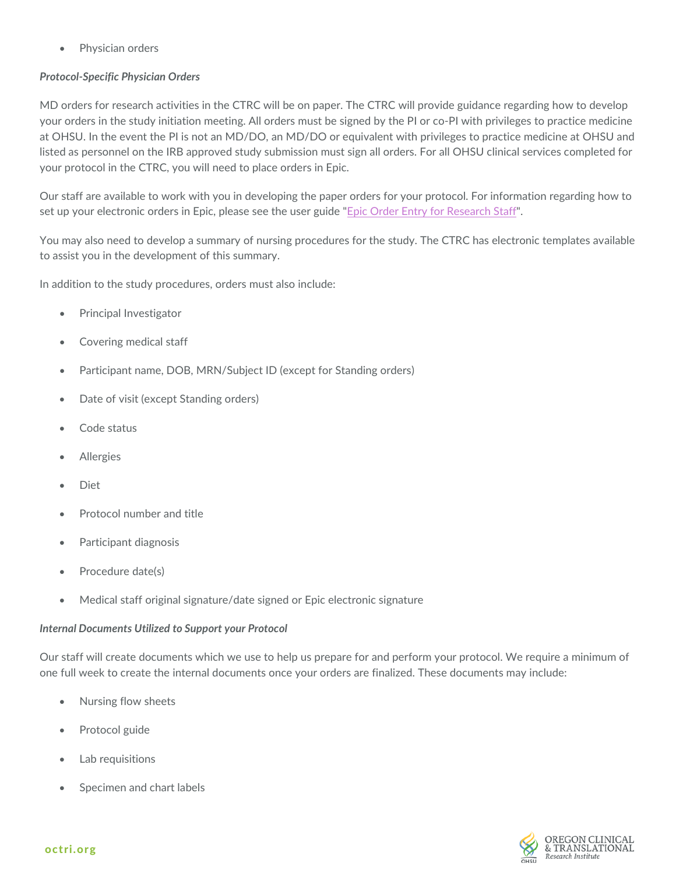• Physician orders

# *Protocol-Specific Physician Orders*

MD orders for research activities in the CTRC will be on paper. The CTRC will provide guidance regarding how to develop your orders in the study initiation meeting. All orders must be signed by the PI or co-PI with privileges to practice medicine at OHSU. In the event the PI is not an MD/DO, an MD/DO or equivalent with privileges to practice medicine at OHSU and listed as personnel on the IRB approved study submission must sign all orders. For all OHSU clinical services completed for your protocol in the CTRC, you will need to place orders in Epic.

Our staff are available to work with you in developing the paper orders for your protocol. For information regarding how to set up your electronic orders in Epic, please see the user guide "[Epic Order Entry for Rese](https://bridge.ohsu.edu/cs/itg/projects/eri/_layouts/15/WopiFrame.aspx?sourcedoc={8BC3D775-3A29-442A-B58E-2D7BB4EA3AE1}&file=Epic%20Order%20Entry%20for%20Research%20-%20User%20Guide.docx&action=default)arch Staff".

You may also need to develop a summary of nursing procedures for the study. The CTRC has electronic templates available to assist you in the development of this summary.

In addition to the study procedures, orders must also include:

- Principal Investigator
- Covering medical staff
- Participant name, DOB, MRN/Subject ID (except for Standing orders)
- Date of visit (except Standing orders)
- Code status
- **Allergies**
- Diet
- Protocol number and title
- Participant diagnosis
- Procedure date(s)
- Medical staff original signature/date signed or Epic electronic signature

## *Internal Documents Utilized to Support your Protocol*

Our staff will create documents which we use to help us prepare for and perform your protocol. We require a minimum of one full week to create the internal documents once your orders are finalized. These documents may include:

- Nursing flow sheets
- Protocol guide
- Lab requisitions
- Specimen and chart labels

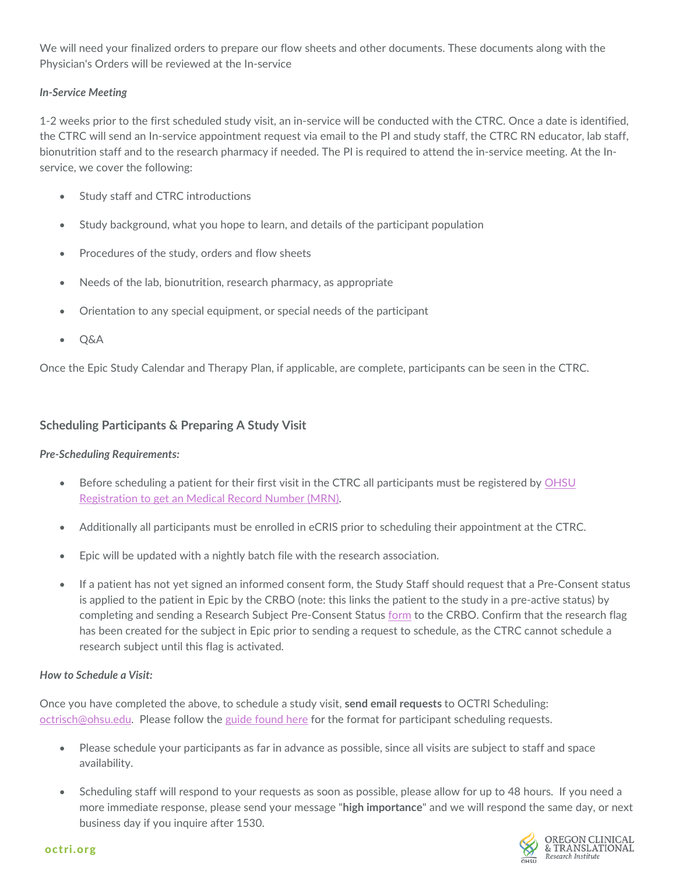We will need your finalized orders to prepare our flow sheets and other documents. These documents along with the Physician's Orders will be reviewed at the In-service

# *In-Service Meeting*

1-2 weeks prior to the first scheduled study visit, an in-service will be conducted with the CTRC. Once a date is identified, the CTRC will send an In-service appointment request via email to the PI and study staff, the CTRC RN educator, lab staff, bionutrition staff and to the research pharmacy if needed. The PI is required to attend the in-service meeting. At the Inservice, we cover the following:

- Study staff and CTRC introductions
- Study background, what you hope to learn, and details of the participant population
- Procedures of the study, orders and flow sheets
- Needs of the lab, bionutrition, research pharmacy, as appropriate
- Orientation to any special equipment, or special needs of the participant
- Q&A

Once the Epic Study Calendar and Therapy Plan, if applicable, are complete, participants can be seen in the CTRC.

# **Scheduling Participants & Preparing A Study Visit**

## *Pre-Scheduling Requirements:*

- Before scheduling a patient for their first visit in the CTRC all participants must be registered by [OHSU](https://ohsu.ellucid.com/documents/view/6195)  [Registration to get an Medical Record Number \(MRN\).](https://ohsu.ellucid.com/documents/view/6195)
- Additionally all participants must be enrolled in eCRIS prior to scheduling their appointment at the CTRC.
- Epic will be updated with a nightly batch file with the research association.
- If a patient has not yet signed an informed consent form, the Study Staff should request that a Pre-Consent status is applied to the patient in Epic by the CRBO (note: this links the patient to the study in a pre-active status) by completing and sending a Research Subject Pre-Consent Status [form](https://o2.ohsu.edu/clinical-research-services/clinical-research-billing-office/billing-resources.cfm) to the CRBO. Confirm that the research flag has been created for the subject in Epic prior to sending a request to schedule, as the CTRC cannot schedule a research subject until this flag is activated.

## *How to Schedule a Visit:*

Once you have completed the above, to schedule a study visit, **send email requests** to OCTRI Scheduling: [octrisch@ohsu.edu.](mailto:octrisch@ohsu.edu) Please follow the [guide found here](https://www.ohsu.edu/sites/default/files/2019-07/OCTRI_PDF_CTRC_nursing_FINAL.pdf) for the format for participant scheduling requests.

- Please schedule your participants as far in advance as possible, since all visits are subject to staff and space availability.
- Scheduling staff will respond to your requests as soon as possible, please allow for up to 48 hours. If you need a more immediate response, please send your message "**high importance**" and we will respond the same day, or next business day if you inquire after 1530.

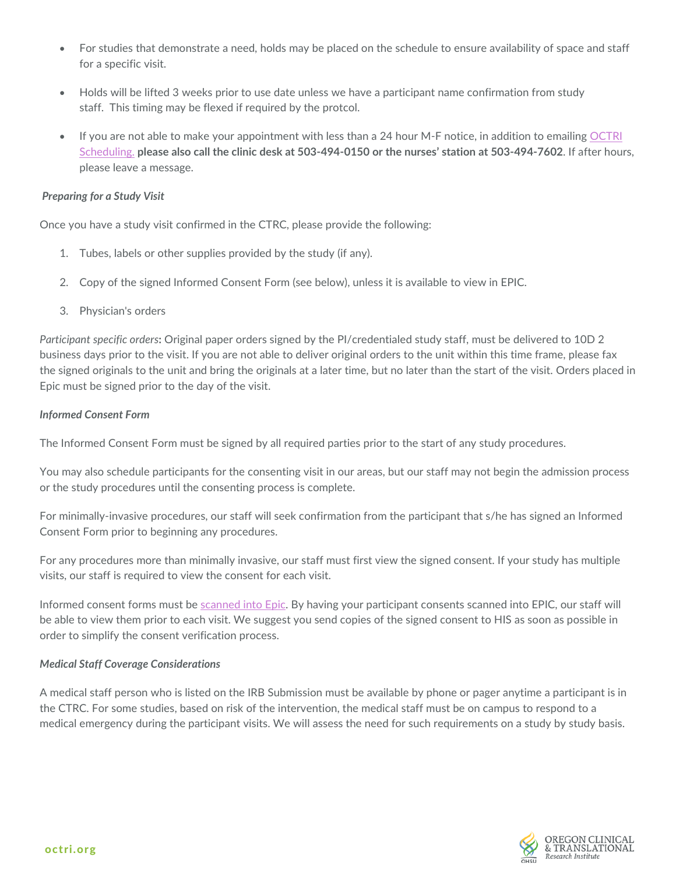- For studies that demonstrate a need, holds may be placed on the schedule to ensure availability of space and staff for a specific visit.
- Holds will be lifted 3 weeks prior to use date unless we have a participant name confirmation from study staff. This timing may be flexed if required by the protcol.
- If you are not able to make your appointment with less than a 24 hour M-F notice, in addition to emailing OCTRI [Scheduling.](mailto:octrisch@ohsu.edu) **please also call the clinic desk at 503-494-0150 or the nurses' station at 503-494-7602**. If after hours, please leave a message.

#### *Preparing for a Study Visit*

Once you have a study visit confirmed in the CTRC, please provide the following:

- 1. Tubes, labels or other supplies provided by the study (if any).
- 2. Copy of the signed Informed Consent Form (see below), unless it is available to view in EPIC.
- 3. Physician's orders

*Participant specific orders***:** Original paper orders signed by the PI/credentialed study staff, must be delivered to 10D 2 business days prior to the visit. If you are not able to deliver original orders to the unit within this time frame, please fax the signed originals to the unit and bring the originals at a later time, but no later than the start of the visit. Orders placed in Epic must be signed prior to the day of the visit.

## *Informed Consent Form*

The Informed Consent Form must be signed by all required parties prior to the start of any study procedures.

You may also schedule participants for the consenting visit in our areas, but our staff may not begin the admission process or the study procedures until the consenting process is complete.

For minimally-invasive procedures, our staff will seek confirmation from the participant that s/he has signed an Informed Consent Form prior to beginning any procedures.

For any procedures more than minimally invasive, our staff must first view the signed consent. If your study has multiple visits, our staff is required to view the consent for each visit.

Informed consent forms must be [scanned into Epic.](https://ohsu.ellucid.com/documents/view/279) By having your participant consents scanned into EPIC, our staff will be able to view them prior to each visit. We suggest you send copies of the signed consent to HIS as soon as possible in order to simplify the consent verification process.

## *Medical Staff Coverage Considerations*

A medical staff person who is listed on the IRB Submission must be available by phone or pager anytime a participant is in the CTRC. For some studies, based on risk of the intervention, the medical staff must be on campus to respond to a medical emergency during the participant visits. We will assess the need for such requirements on a study by study basis.

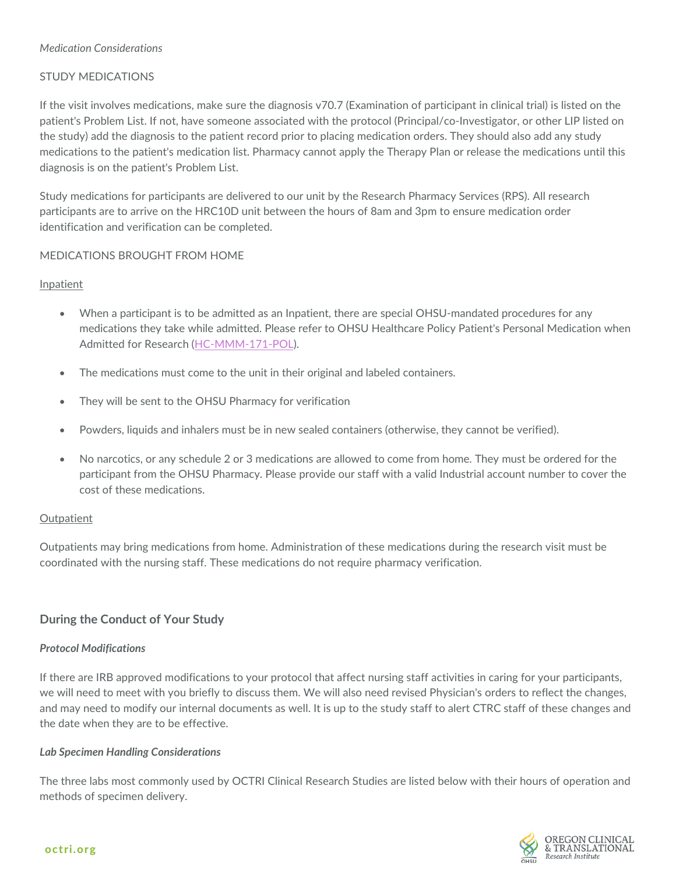# *Medication Considerations*

# STUDY MEDICATIONS

If the visit involves medications, make sure the diagnosis v70.7 (Examination of participant in clinical trial) is listed on the patient's Problem List. If not, have someone associated with the protocol (Principal/co-Investigator, or other LIP listed on the study) add the diagnosis to the patient record prior to placing medication orders. They should also add any study medications to the patient's medication list. Pharmacy cannot apply the Therapy Plan or release the medications until this diagnosis is on the patient's Problem List.

Study medications for participants are delivered to our unit by the Research Pharmacy Services (RPS). All research participants are to arrive on the HRC10D unit between the hours of 8am and 3pm to ensure medication order identification and verification can be completed.

## MEDICATIONS BROUGHT FROM HOME

## Inpatient

- When a participant is to be admitted as an Inpatient, there are special OHSU-mandated procedures for any medications they take while admitted. Please refer to OHSU Healthcare Policy Patient's Personal Medication when Admitted for Research (H[C-MMM-171-POL](https://ohsu.ellucid.com/documents/view/16332)).
- The medications must come to the unit in their original and labeled containers.
- They will be sent to the OHSU Pharmacy for verification
- Powders, liquids and inhalers must be in new sealed containers (otherwise, they cannot be verified).
- No narcotics, or any schedule 2 or 3 medications are allowed to come from home. They must be ordered for the participant from the OHSU Pharmacy. Please provide our staff with a valid Industrial account number to cover the cost of these medications.

## **Outpatient**

Outpatients may bring medications from home. Administration of these medications during the research visit must be coordinated with the nursing staff. These medications do not require pharmacy verification.

# **During the Conduct of Your Study**

## *Protocol Modifications*

If there are IRB approved modifications to your protocol that affect nursing staff activities in caring for your participants, we will need to meet with you briefly to discuss them. We will also need revised Physician's orders to reflect the changes, and may need to modify our internal documents as well. It is up to the study staff to alert CTRC staff of these changes and the date when they are to be effective.

## *Lab Specimen Handling Considerations*

The three labs most commonly used by OCTRI Clinical Research Studies are listed below with their hours of operation and methods of specimen delivery.

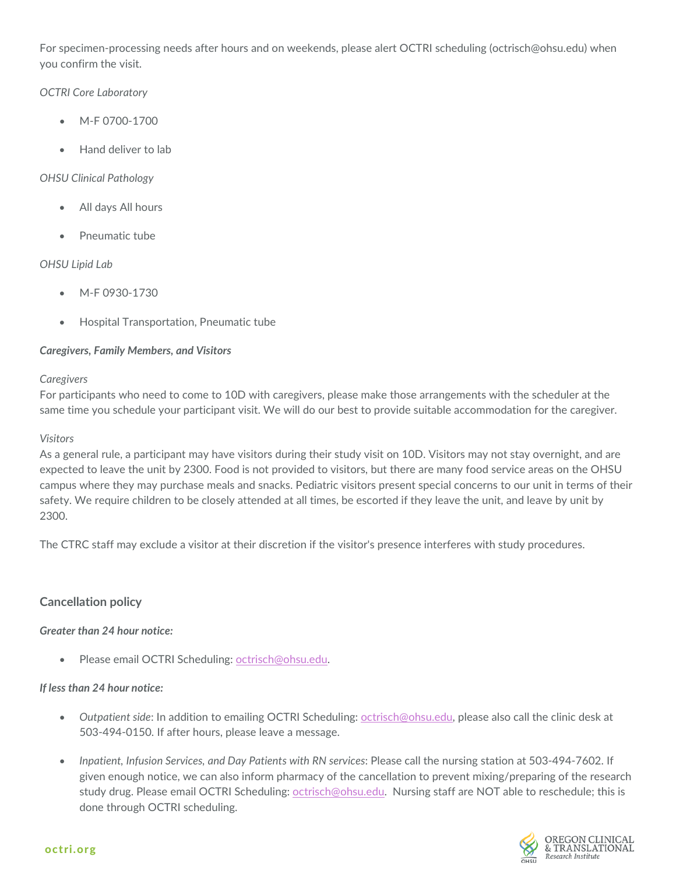For specimen-processing needs after hours and on weekends, please alert OCTRI scheduling (octrisch@ohsu.edu) when you confirm the visit.

# *OCTRI Core Laboratory*

- M-F 0700-1700
- Hand deliver to lab

# *OHSU Clinical Pathology*

- All days All hours
- Pneumatic tube

# *OHSU Lipid Lab*

- M-F 0930-1730
- Hospital Transportation, Pneumatic tube

# *Caregivers, Family Members, and Visitors*

# *Caregivers*

For participants who need to come to 10D with caregivers, please make those arrangements with the scheduler at the same time you schedule your participant visit. We will do our best to provide suitable accommodation for the caregiver.

# *Visitors*

As a general rule, a participant may have visitors during their study visit on 10D. Visitors may not stay overnight, and are expected to leave the unit by 2300. Food is not provided to visitors, but there are many food service areas on the OHSU campus where they may purchase meals and snacks. Pediatric visitors present special concerns to our unit in terms of their safety. We require children to be closely attended at all times, be escorted if they leave the unit, and leave by unit by 2300.

The CTRC staff may exclude a visitor at their discretion if the visitor's presence interferes with study procedures.

# **Cancellation policy**

# *Greater than 24 hour notice:*

• Please email OCTRI Scheduling[: octrisch@ohsu.edu.](mailto:octrisch@ohsu.edu)

# *If less than 24 hour notice:*

- *Outpatient side*: In addition to emailing OCTRI Scheduling: [octrisch@ohsu.edu,](mailto:octrisch@ohsu.edu) please also call the clinic desk at 503-494-0150. If after hours, please leave a message.
- *Inpatient, Infusion Services, and Day Patients with RN services*: Please call the nursing station at 503-494-7602. If given enough notice, we can also inform pharmacy of the cancellation to prevent mixing/preparing of the research study drug. Please email OCTRI Scheduling: [octrisch@ohsu.edu.](mailto:octrisch@ohsu.edu) Nursing staff are NOT able to reschedule; this is done through OCTRI scheduling.